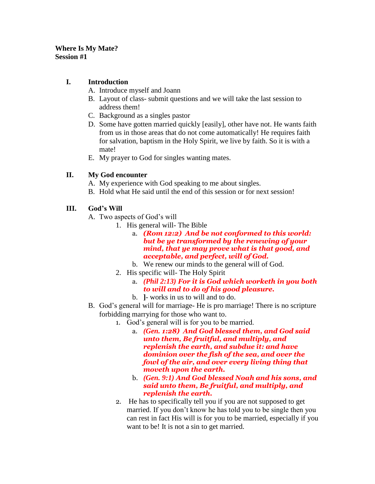#### **Where Is My Mate? Session #1**

## **I. Introduction**

- A. Introduce myself and Joann
- B. Layout of class- submit questions and we will take the last session to address them!
- C. Background as a singles pastor
- D. Some have gotten married quickly [easily], other have not. He wants faith from us in those areas that do not come automatically! He requires faith for salvation, baptism in the Holy Spirit, we live by faith. So it is with a mate!
- E. My prayer to God for singles wanting mates.

### **II. My God encounter**

A. My experience with God speaking to me about singles.

B. Hold what He said until the end of this session or for next session!

# **III. God's Will**

- A. Two aspects of God's will
	- 1. His general will- The Bible
		- a. *(Rom 12:2) And be not conformed to this world: but be ye transformed by the renewing of your mind, that ye may prove what is that good, and acceptable, and perfect, will of God.*
		- b. We renew our minds to the general will of God.
	- 2. His specific will- The Holy Spirit
		- a. *(Phil 2:13) For it is God which worketh in you both to will and to do of his good pleasure.*
		- b. **]** works in us to will and to do.
- B. God's general will for marriage- He is pro marriage! There is no scripture forbidding marrying for those who want to.
	- 1. God's general will is for you to be married.
		- a. *(Gen. 1:28) And God blessed them, and God said unto them, Be fruitful, and multiply, and replenish the earth, and subdue it: and have dominion over the fish of the sea, and over the fowl of the air, and over every living thing that moveth upon the earth.*
		- b. *(Gen. 9:1) And God blessed Noah and his sons, and said unto them, Be fruitful, and multiply, and replenish the earth.*
	- 2. He has to specifically tell you if you are not supposed to get married. If you don't know he has told you to be single then you can rest in fact His will is for you to be married, especially if you want to be! It is not a sin to get married.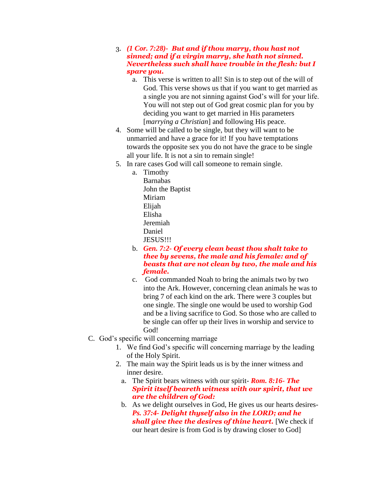- 3. *(1 Cor. 7:28)- But and if thou marry, thou hast not sinned; and if a virgin marry, she hath not sinned. Nevertheless such shall have trouble in the flesh: but I spare you.* 
	- a. This verse is written to all! Sin is to step out of the will of God. This verse shows us that if you want to get married as a single you are not sinning against God's will for your life. You will not step out of God great cosmic plan for you by deciding you want to get married in His parameters [*marrying a Christian*] and following His peace.
- 4. Some will be called to be single, but they will want to be unmarried and have a grace for it! If you have temptations towards the opposite sex you do not have the grace to be single all your life. It is not a sin to remain single!
- 5. In rare cases God will call someone to remain single.
	- a. Timothy Barnabas John the Baptist Miriam Elijah Elisha Jeremiah Daniel JESUS!!!
	- b. *Gen. 7:2- Of every clean beast thou shalt take to thee by sevens, the male and his female: and of beasts that are not clean by two, the male and his female.*
	- c. God commanded Noah to bring the animals two by two into the Ark. However, concerning clean animals he was to bring 7 of each kind on the ark. There were 3 couples but one single. The single one would be used to worship God and be a living sacrifice to God. So those who are called to be single can offer up their lives in worship and service to God!
- C. God's specific will concerning marriage
	- 1. We find God's specific will concerning marriage by the leading of the Holy Spirit.
	- 2. The main way the Spirit leads us is by the inner witness and inner desire.
		- a. The Spirit bears witness with our spirit- *Rom. 8:16- The Spirit itself beareth witness with our spirit, that we are the children of God:*
		- b. As we delight ourselves in God, He gives us our hearts desires-*Ps. 37:4- Delight thyself also in the LORD; and he shall give thee the desires of thine heart.* [We check if our heart desire is from God is by drawing closer to God]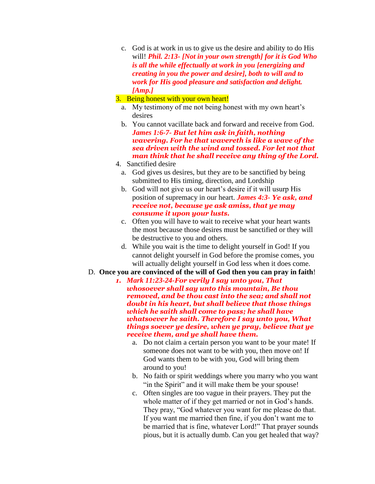- c. God is at work in us to give us the desire and ability to do His will! *Phil. 2:13- [Not in your own strength] for it is God Who is all the while effectually at work in you [energizing and creating in you the power and desire], both to will and to work for His good pleasure and satisfaction and delight. [Amp.]*
- 3. Being honest with your own heart!
	- a. My testimony of me not being honest with my own heart's desires
	- b. You cannot vacillate back and forward and receive from God. *James 1:6-7- But let him ask in faith, nothing wavering. For he that wavereth is like a wave of the sea driven with the wind and tossed. For let not that man think that he shall receive any thing of the Lord.*
- 4. Sanctified desire
	- a. God gives us desires, but they are to be sanctified by being submitted to His timing, direction, and Lordship
	- b. God will not give us our heart's desire if it will usurp His position of supremacy in our heart. *James 4:3- Ye ask, and receive not, because ye ask amiss, that ye may consume it upon your lusts.*
	- c. Often you will have to wait to receive what your heart wants the most because those desires must be sanctified or they will be destructive to you and others.
	- d. While you wait is the time to delight yourself in God! If you cannot delight yourself in God before the promise comes, you will actually delight yourself in God less when it does come.
- D. **Once you are convinced of the will of God then you can pray in faith**!
	- *1. Mark 11:23-24-For verily I say unto you, That whosoever shall say unto this mountain, Be thou removed, and be thou cast into the sea; and shall not doubt in his heart, but shall believe that those things which he saith shall come to pass; he shall have whatsoever he saith. Therefore I say unto you, What things soever ye desire, when ye pray, believe that ye receive them, and ye shall have them.*
		- a. Do not claim a certain person you want to be your mate! If someone does not want to be with you, then move on! If God wants them to be with you, God will bring them around to you!
		- b. No faith or spirit weddings where you marry who you want "in the Spirit" and it will make them be your spouse!
		- c. Often singles are too vague in their prayers. They put the whole matter of if they get married or not in God's hands. They pray, "God whatever you want for me please do that. If you want me married then fine, if you don't want me to be married that is fine, whatever Lord!" That prayer sounds pious, but it is actually dumb. Can you get healed that way?